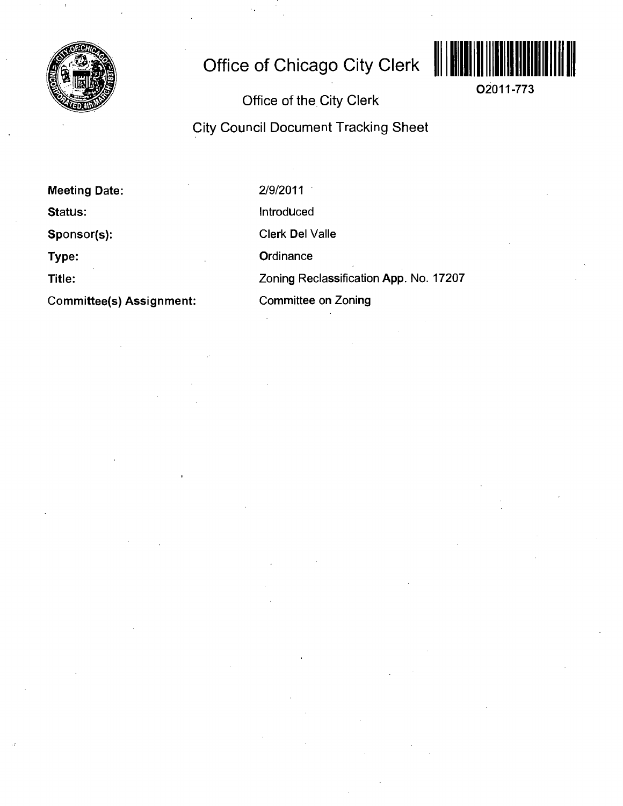

# **Office of Chicago City Clerk**



**O2011-773** 

**Office of the City Clerk** 

# **City Council Document Tracking Sheet**

**Meeting Date: Status: Sponsor(s): Type: Title: Committee(s) Assignment:** 

2/9/2011 Introduced Clerk Del Valle **Ordinance** Zoning Reclassification App. No. 17207 Committee on Zoning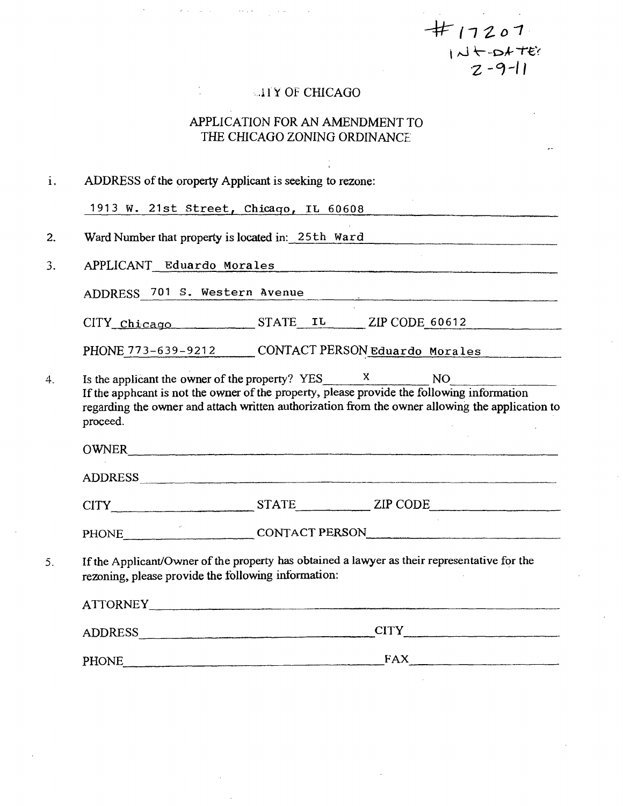$#11201$  $147-0478$ 

## **... i l Y OF CHICAGO**

 $\Delta\omega$  and  $\omega$  is a simple

## APPLICATION FOR AN AMENDMENT TO THE CHICAGO ZONING ORDINANCE

÷,

| i. | ADDRESS of the oroperty Applicant is seeking to rezone:                                                                                                                                                                                                               |  |  |
|----|-----------------------------------------------------------------------------------------------------------------------------------------------------------------------------------------------------------------------------------------------------------------------|--|--|
|    | 1913 W. 21st Street, Chicago, IL 60608                                                                                                                                                                                                                                |  |  |
| 2. | Ward Number that property is located in: 25th Ward                                                                                                                                                                                                                    |  |  |
| 3. | APPLICANT Eduardo Morales                                                                                                                                                                                                                                             |  |  |
|    | ADDRESS 701 S. Western Avenue                                                                                                                                                                                                                                         |  |  |
|    | CITY_chicago STATE_IL ZIP CODE_60612                                                                                                                                                                                                                                  |  |  |
|    | PHONE 773-639-9212 CONTACT PERSON Eduardo Morales                                                                                                                                                                                                                     |  |  |
| 4. | Is the applicant the owner of the property? $YES$ $X$ NO<br>If the appheant is not the owner of the property, please provide the following information<br>regarding the owner and attach written authorization from the owner allowing the application to<br>proceed. |  |  |
|    | ADDRESS                                                                                                                                                                                                                                                               |  |  |
|    | CITY STATE ZIP CODE                                                                                                                                                                                                                                                   |  |  |
|    | PHONE CONTACT PERSON                                                                                                                                                                                                                                                  |  |  |
| 5. | If the Applicant/Owner of the property has obtained a lawyer as their representative for the<br>rezoning, please provide the following information:                                                                                                                   |  |  |
|    | ATTORNEY                                                                                                                                                                                                                                                              |  |  |
|    | ADDRESS CITY CITY                                                                                                                                                                                                                                                     |  |  |
|    | PHONE FAX FAX                                                                                                                                                                                                                                                         |  |  |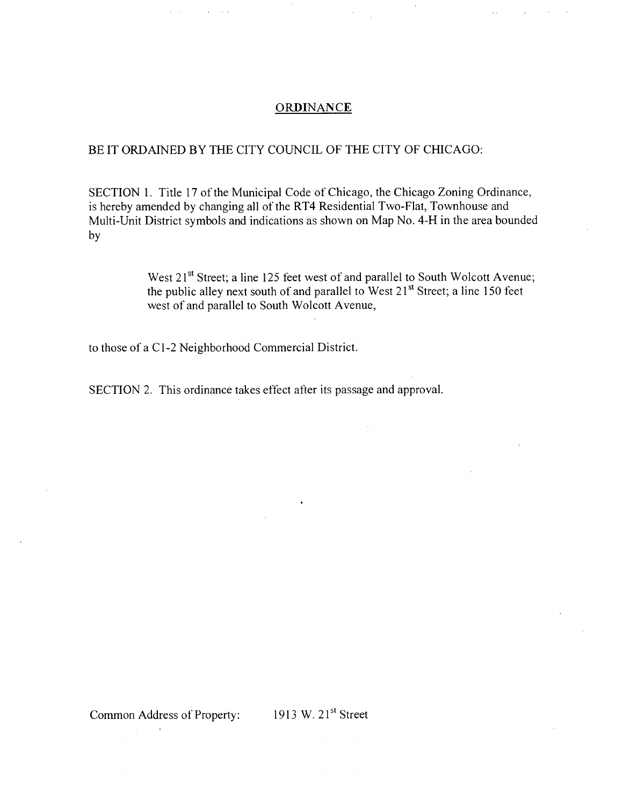#### **ORDINANCE**

#### BE IT ORDAINED BY THE CITY COUNCIL OF THE CITY OF CHICAGO:

SECTION 1. Title 17 of the Municipal Code of Chicago, the Chicago Zoning Ordinance, is hereby amended by changing all of the RT4 Residential Two-Flat, Townhouse and Multi-Unit District symbols and indications as shown on Map No. 4-H in the area bounded by

> West 21<sup>st</sup> Street; a line 125 feet west of and parallel to South Wolcott Avenue; the public alley next south of and parallel to West  $21<sup>st</sup>$  Street; a line 150 feet west of and parallel to South Wolcott Avenue,

to those of a Cl-2 Neighborhood Commercial District.

 $\sim$ 

SECTION 2. This ordinance takes effect after its passage and approval.

Common Address of Property: 1913 W. 21<sup>st</sup> Street

 $\sim 10^{-1}$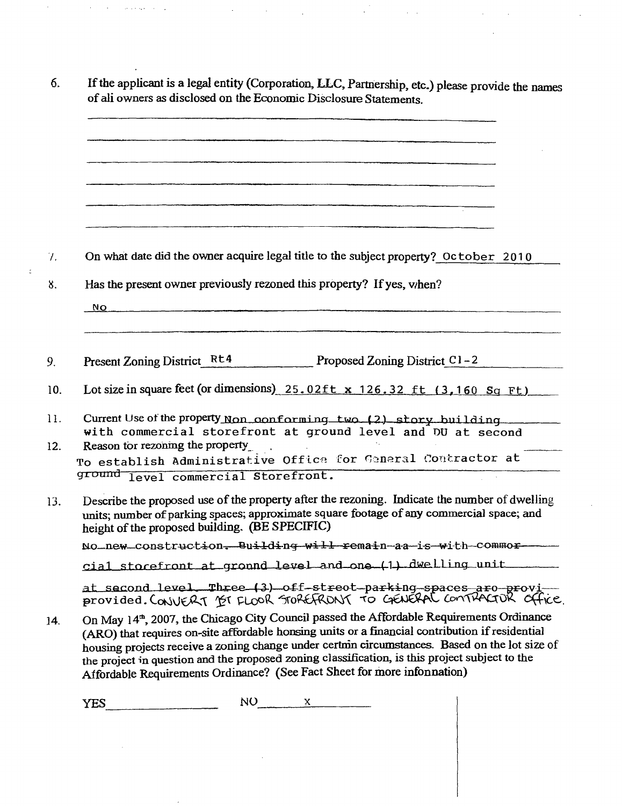|     | If the applicant is a legal entity (Corporation, LLC, Partnership, etc.) please provide the names<br>of ali owners as disclosed on the Economic Disclosure Statements.                                                                                                                                                                                                                                      |
|-----|-------------------------------------------------------------------------------------------------------------------------------------------------------------------------------------------------------------------------------------------------------------------------------------------------------------------------------------------------------------------------------------------------------------|
|     |                                                                                                                                                                                                                                                                                                                                                                                                             |
|     |                                                                                                                                                                                                                                                                                                                                                                                                             |
| 7.  | On what date did the owner acquire legal title to the subject property? October 2010                                                                                                                                                                                                                                                                                                                        |
| 8.  | Has the present owner previously rezoned this property? If yes, when?<br>NO.                                                                                                                                                                                                                                                                                                                                |
| 9.  | Present Zoning District Rt4 Proposed Zoning District C1-2                                                                                                                                                                                                                                                                                                                                                   |
| 10. | Lot size in square feet (or dimensions) $25.02$ ft x 126.32 ft (3,160 Sq Ft)                                                                                                                                                                                                                                                                                                                                |
| 11. | Current Use of the property Non conforming two (2) story building<br>with commercial storefront at ground level and DU at second                                                                                                                                                                                                                                                                            |
| 12. | Reason tor rezoning the property<br>To establish Administrative Office for General Contractor at<br>ground level commercial Storefront.                                                                                                                                                                                                                                                                     |
| 13. | Describe the proposed use of the property after the rezoning. Indicate the number of dwelling<br>units; number of parking spaces; approximate square footage of any commercial space; and<br>height of the proposed building. (BE SPECIFIC)                                                                                                                                                                 |
|     | No new construction. Building will remain a is with commor-                                                                                                                                                                                                                                                                                                                                                 |
|     | cial storefront at ground level and one (1) dwelling unit                                                                                                                                                                                                                                                                                                                                                   |
|     | at second level Three (3) off-streot-parking-spaces aro-provi-<br>provided. CONVERT IST FLOOR STOREFRONT TO GENERAL CONTRACTOR Office.                                                                                                                                                                                                                                                                      |
| 14. | On May 14 <sup>th</sup> , 2007, the Chicago City Council passed the Affordable Requirements Ordinance<br>(ARO) that requires on-site affordable honsing units or a financial contribution if residential<br>housing projects receive a zoning change under certmn circumstances. Based on the lot size of<br>the project in question and the proposed zoning classification, is this project subject to the |

 $\sim 10$ 

 $\sim$   $\sim$ 

 $YES$  NO  $x$ 

 $\frac{1}{2} \left( \frac{1}{2} \right)$ 

 $\mathcal{L}^{\text{max}}_{\text{max}}$  ,  $\mathcal{L}^{\text{max}}_{\text{max}}$ 

 $\mathcal{L}^{\text{max}}_{\text{max}}$  and  $\mathcal{L}^{\text{max}}_{\text{max}}$ 

 $\mathcal{O}(n^{2} \log n)$  , where  $\mathcal{O}(n^{2} \log n)$  is a sequence of  $\mathcal{O}(n^{2})$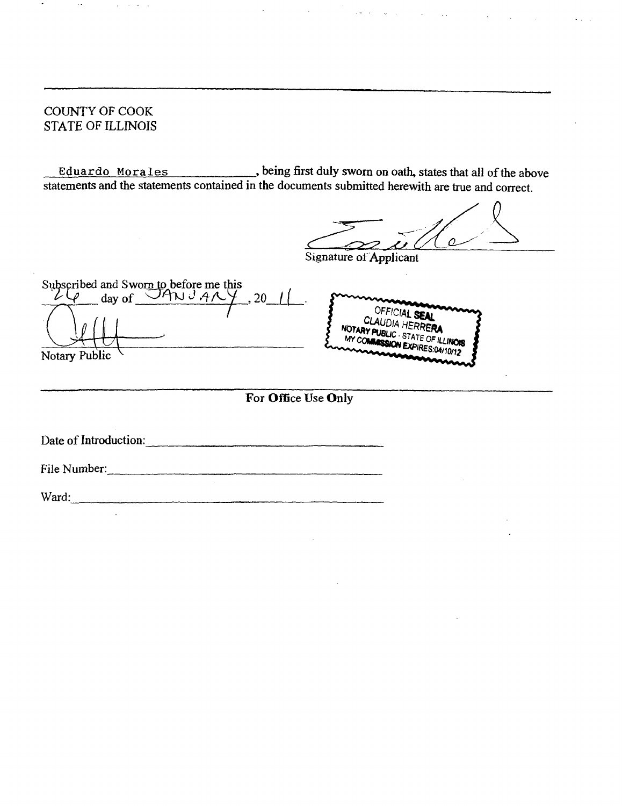## COUNTY OF COOK STATE OF ILLINOIS

Eduardo Morales being first duly sworn on oath, states that all of the above statements and the statements contained in the documents submitted herewith are true and correct.

 $\overline{O}$ 

Signature of Applicant

Subscribed and Sworn to before me this day of  $\sqrt{4N} J A \sqrt{4}$ , 20 | OFFICIAL<br>CLAUDIA HE<br>NOTARY PUBLIC - ST. TE OF ILLINOIS MY COM XPIRES:04/10/12 Notary Public

## For Office Use Only

Date of Introduction:

File Number:

Ward: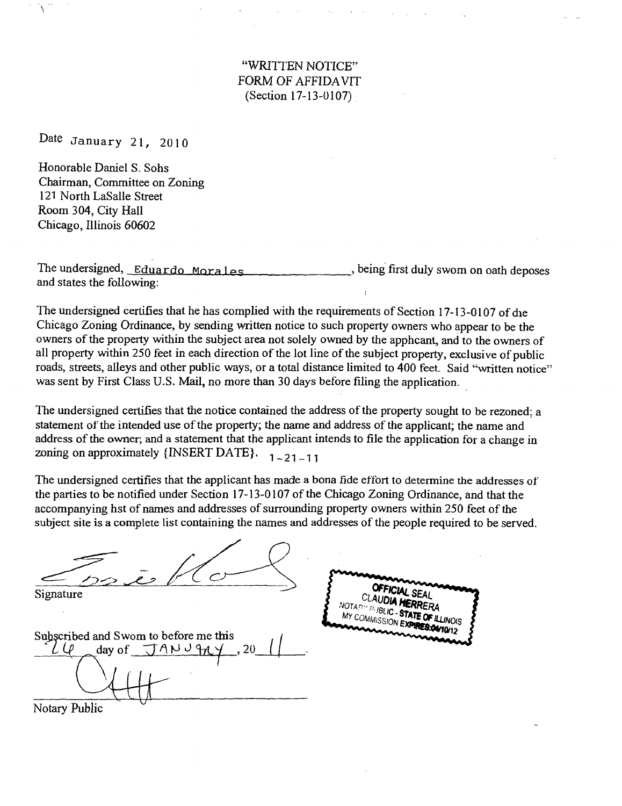## "WRITTEN NOTICE" FORM OF AFFIDAVIT (Section 17-13-0107)

Date January 21, 2010

Honorable Daniel S. Sohs Chairman, Committee on Zoning 121 North LaSalle Street Room 304, City Hall Chicago, Illinois 60602

The undersigned, Eduardo Morales , being first duly swom on oath deposes and states the following;

The undersigned certifies that he has complied with the requirements of Section 17-13-0107 of die Chicago Zoning Ordinance, by sending vmtten notice to such property owners who appear to be the owners of the property within the subject area not solely owned by the apphcant, and to the owners of all property within 250 feet in each direction of the lot line of the subject property, exclusive of public roads, streets, alleys and other public ways, or a total distance limited to 400 feet. Said "written notice" was sent by First Class U.S. Mail, no more than 30 days before filing the application.

The undersigned certifies that the notice contained the address of the property sought to be rezoned; a statement of the intended use of the property; the name and address of the applicant; the name and address of the owner; and a statement that the applicant intends to file the application for a change in zoning on approximately {INSERT DATE}.  $1 - 21 - 11$ 

The undersigned certifies that the applicant has made a bona fide effort to determine the addresses of the parties to be notified under Section 17-13-0107 of the Chicago Zoning Ordinance, and that the accompanying hst of names and addresses of surrounding property owners within 250 feet of the subject site is a complete list containing the names and addresses of the people required to be served.

| 200<br>Signature                                                         | OFFICIAL SEAL<br>CLAU <b>DIA HERR</b> ERA                          |
|--------------------------------------------------------------------------|--------------------------------------------------------------------|
| Subscribed and Swom to before me this<br>day of $JANU1M$ , 20<br>$\iota$ | NOTADY PUBLIC - STATE OF ILLINOIS<br>MY COMMISSION EXPIRES 0410/12 |
| Notary Public                                                            |                                                                    |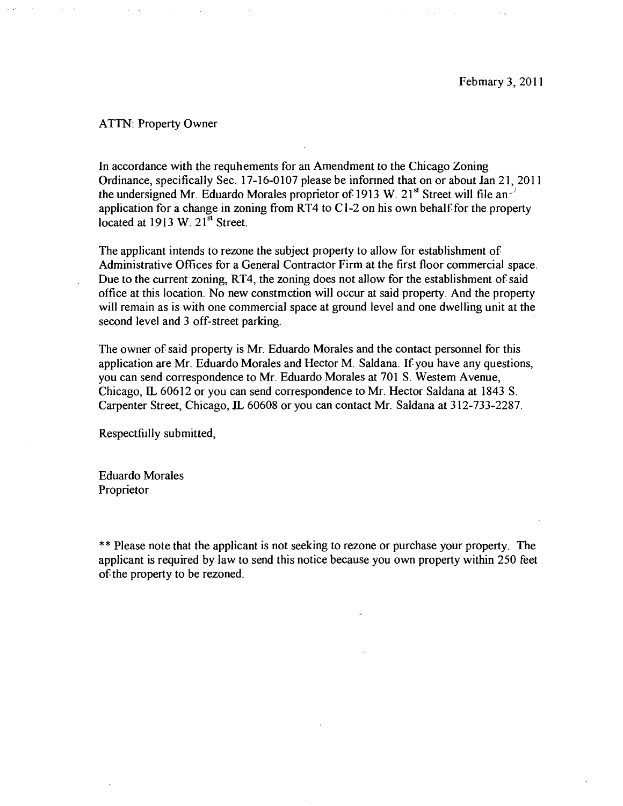#### ATTN: Property Owner

In accordance with the requhements for an Amendment to the Chicago Zoning Ordinance, specifically Sec. 17-16-0107 please be infonned that on or about Jan 21, 2011 the undersigned Mr. Eduardo Morales proprietor of 1913 W. 21 $^{\text{st}}$  Street will file an<sup>-</sup> application for a change in zoning from RT4 to  $C1-2$  on his own behalf for the property located at 1913 W. 21<sup>st</sup> Street.

The applicant intends to rezone the subject property to allow for establishment of Administrative Offices for a General Contractor Firm at the first floor commercial space. Due to the current zoning, RT4, the zoning does not allow for the establishment of said office at this location. No new constmction will occur at said property. And the property will remain as is with one commercial space at ground level and one dwelling unit at the second level and 3 off-street parking.

The owner of said property is Mr. Eduardo Morales and the contact personnel for this application are Mr. Eduardo Morales and Hector M. Saldana. If you have any questions, you can send correspondence to Mr. Eduardo Morales at 701 S. Westem Avenue, Chicago, IL 60612 or you can send correspondence to Mr. Hector Saldana at 1843 S. Carpenter Street, Chicago, JL 60608 or you can contact Mr. Saldana at 312-733-2287.

Respectfiilly submitted.

Eduardo Morales Proprietor

\*\* Please note that the applicant is not seeking to rezone or purchase your property. The applicant is required by law to send this notice because you own property within 250 feet of the property to be rezoned.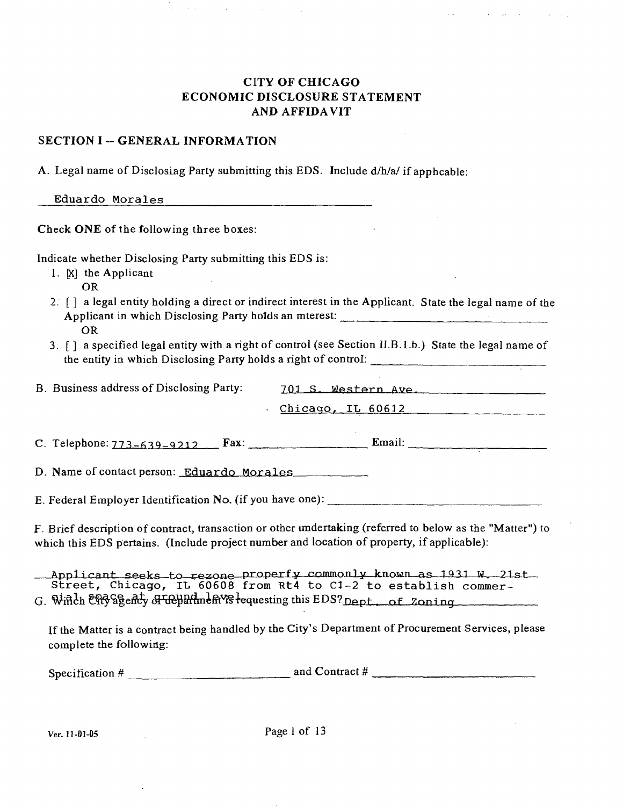## CITY OF CHICAGO ECONOMIC DISCLOSURE STATEMENT AND AFFIDAVIT

#### SECTION I -- GENERAL INFORMATION

A. Legal name of Disclosiag Party submitting this EDS. Include d/h/a/ if apphcable:

Eduardo Morales

Check ONE of the following three boxes:

Indicate whether Disclosing Party submitting this EDS is;

- 1.  $[X]$  the Applicant
	- OR
- 2.  $\lceil \cdot \rceil$  a legal entity holding a direct or indirect interest in the Applicant. State the legal name of the Applicant in which Disclosing Party holds an mterest: OR
- 3. [] a specified legal entity with a right of control (see Section ll.B.i.b.) State the legal name of the entity in which Disclosing Party holds a right of control:

| B. Business address of Disclosing Party: | 701 S. Western Ave. |
|------------------------------------------|---------------------|
|                                          | Chicago, IL 60612   |

C. Telephone:  $773-639-9212$  Fax: Email: Email:

D. Name of contact person: Eduardo Morales

E. Federal Employer Identification No. (if you have one): \_\_\_\_\_\_\_\_\_\_\_\_\_\_\_\_\_\_\_\_\_\_\_

F. Brief description of contract, transaction or other imdertaking (referred to below as the "Matter") to which this EDS pertains. (Include project number and location of property, if applicable):

Applicant seeks to rezone properfy commonly known as 1931 W. 21st Street, Chicago, IL 60608 from Rt4 to C1-2 to establish commer-

G. WiRJh ei^^le ^ (9^]^9Anift ^ Westin g this EDS?nppf o f ?:oning

If the Matter is a contract being handled by the City's Department of Procurement Services, please complete the following:

Specification  $#$  and Contract  $#$  and Contract  $#$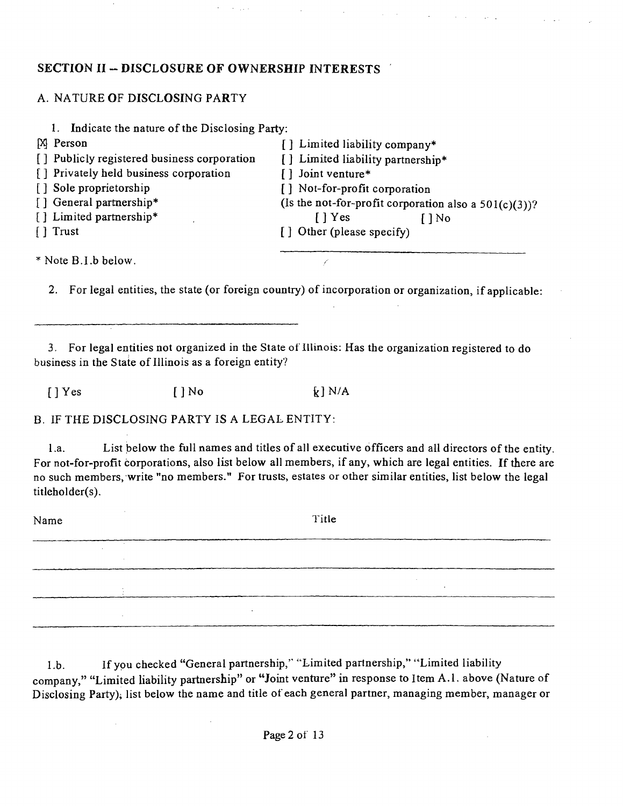## **SECTION II - DISCLOSURE OF OWNERSHIP INTERESTS**

## A. NATURE OF DISCLOSING PARTY

| 1. Indicate the nature of the Disclosing Party: |                                                         |
|-------------------------------------------------|---------------------------------------------------------|
| [X] Person                                      | [] Limited liability company*                           |
| [] Publicly registered business corporation     | [] Limited liability partnership*                       |
| [] Privately held business corporation          | Joint venture*                                          |
| [] Sole proprietorship                          | [] Not-for-profit corporation                           |
| [] General partnership*                         | (Is the not-for-profit corporation also a $501(c)(3)$ ? |
| [] Limited partnership*                         | [ ] Yes<br>I   No                                       |
| Trust                                           | [] Other (please specify)                               |
| * Note B.I.b below.                             |                                                         |

 $\mathcal{L}(\mathcal{A})$  and  $\mathcal{L}(\mathcal{A})$  are  $\mathcal{L}(\mathcal{A})$  . Then

2. For legal entities, the state (or foreign country) of incorporation or organization, if applicable:

3. For legal entities not organized in the State of Illinois: Has the organization registered to do business in the State of Illinois as a foreign entity?

 $[$  | Yes  $[$  | No  $k$  | N/A

B. IF THE DISCLOSING PARTY IS A LEGAL ENTITY:

l.a. List below the full names and titles of all executive officers and all directors of the entity. For not-for-profit corporations, also list below all members, if any, which are legal entities. If there are no such members, write "no members." For trusts, estates or other similar entities, list below the legal titleholder(s).

| Name |    | Title |
|------|----|-------|
|      |    |       |
|      |    |       |
|      | ٠. |       |

1 .b. If you checked "General partnership," "Limited partnership," "Limited liability company," "Limited liability partnership" or "Joint venture" in response to Item A.l. above (Nature of Disclosing Party); list below the name and title of each general partner, managing member, manager or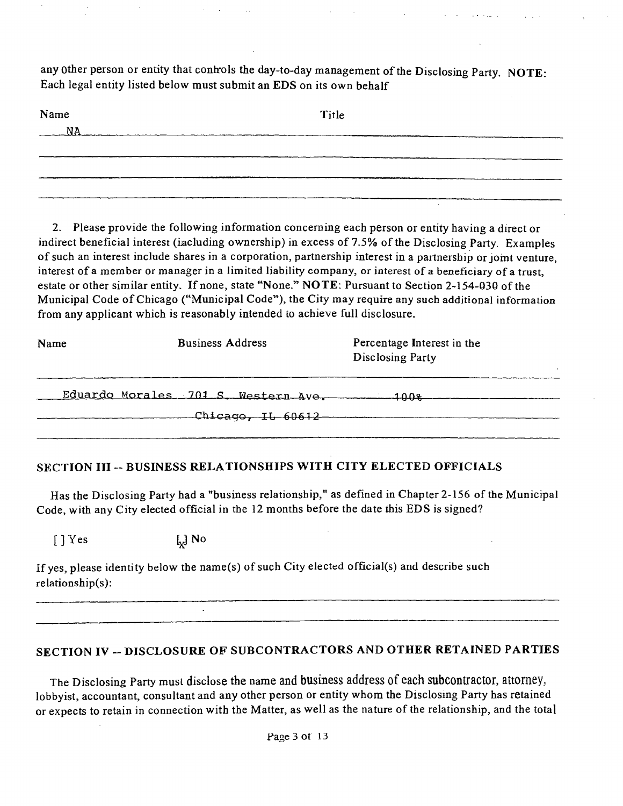any other person or entity that conhrols the day-to-day management of the Disclosing Party. NOTE: Each legal entity listed below must submit an EDS on its own behalf

| Name  | Title |
|-------|-------|
| $N_A$ |       |
|       |       |
|       |       |
|       |       |
|       |       |
|       |       |

2. Please provide the following information conceming each person or entity having a direct or indirect beneficial interest (iacluding ownership) in excess of 7.5% of the Disclosing Party. Examples of such an interest include shares in a corporation, partnership interest in a partnership or jomt venture, interest of a member or manager in a limited liability company, or interest of a beneficiary of a trust, estate or other similar entity. If none, state "None." NOTE: Pursuant to Section 2-154-030 of the Municipal Code of Chicago ("Municipal Code"), the City may require any such additional information from any applicant which is reasonably intended to achieve full disclosure.

| Name | <b>Business Address</b>                                            | Percentage Interest in the<br>Disclosing Party |
|------|--------------------------------------------------------------------|------------------------------------------------|
|      | Eduardo Morales 701 S. Western Ave. 1008<br>__Chicago, IL 60612 __ |                                                |
|      |                                                                    |                                                |

#### **SECTION III -- BUSINESS RELATIONSHIPS WITH CITY ELECTED OFFICIALS**

Has the Disclosing Party had a "business relationship," as defined in Chapter 2-156 of the Municipal Code, with any City elected official in the 12 months before the date ihis EDS is signed?

 $\left[\begin{array}{ccc} \end{array}\right]$  Yes  $\left[\begin{array}{ccc} \downarrow \end{array}\right]$  No

If yes, please identity below the name(s) of such City elected official(s) and describe such relationship(s):

 $\Delta$ 

## **SECTION IV -- DISCLOSURE OF SUBCONTRACTORS AND OTHER RETAINED PARTIES**

The Disclosing Party must disclose the name and business address of each subcontractor, attorney. lobbyist, accountant, consultant and any other person or entity whom the Disclosing Party has retained or expects to retain in connection with the Matter, as well as the nature of the relationship, and the total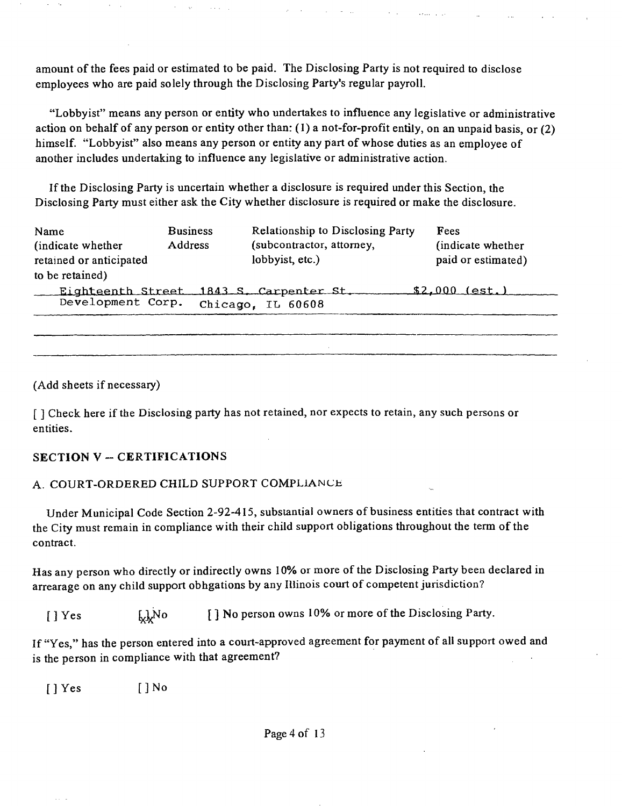amount of the fees paid or estimated to be paid. The Disclosing Party is not required to disclose employees who are paid solely through the Disclosing Party's regular payroll.

"Lobbyist" means any person or entity who undertakes to influence any legislative or administrative action on behalf of any person or entity other than: (1) a not-for-profit entily, on an unpaid basis, or (2) himself. "Lobbyist" also means any person or entity any part of whose duties as an employee of another includes undertaking to influence any legislative or administrative action.

المراجع المتعجز

If the Disclosing Party is uncertain whether a disclosure is requhed under this Section, the Disclosing Party must either ask the City whether disclosure is required or make the disclosure.

| Name<br>(indicate whether)              | <b>Business</b><br>Address | Relationship to Disclosing Party<br>(subcontractor, attorney, | Fees<br>(indicate whether |
|-----------------------------------------|----------------------------|---------------------------------------------------------------|---------------------------|
| retained or anticipated                 |                            | lobbyist, etc.)                                               | paid or estimated)        |
| to be retained)                         |                            |                                                               |                           |
| Eighteenth Street 1843 S. Carpenter St. |                            |                                                               | \$2.000 (est.)            |
| Development Corp.                       |                            | Chicago, IL 60608                                             |                           |
|                                         |                            |                                                               |                           |

(Add sheets if necessary)

[ ] Check here if the Disclosing party has not retained, nor expects to retain, any such persons or entities.

#### **SECTION V - CERTIFICATIONS**

#### A. COURT-ORDERED CHILD SUPPORT COMPLIANCE

Under Municipal Code Section 2-92-415, substantial owners of business entities that contract with the City must remain in compliance with their child support obligations throughout the term of the contract.

Has any person who directly or indirectly owns 10% or more of the Disclosing Party been declared in arrearage on any child support obhgations by any IHinois court of competent jurisdiction?

 $[ ]$  Yes  $\bigcup_{x} No$  [ ] No person owns 10% or more of the Disclosing Party.

If "Yes," has the person entered into a court-approved agreement for payment of all support owed and is the person in compliance with that agreement?

[ ] Yes [ ] No

Page 4 of 13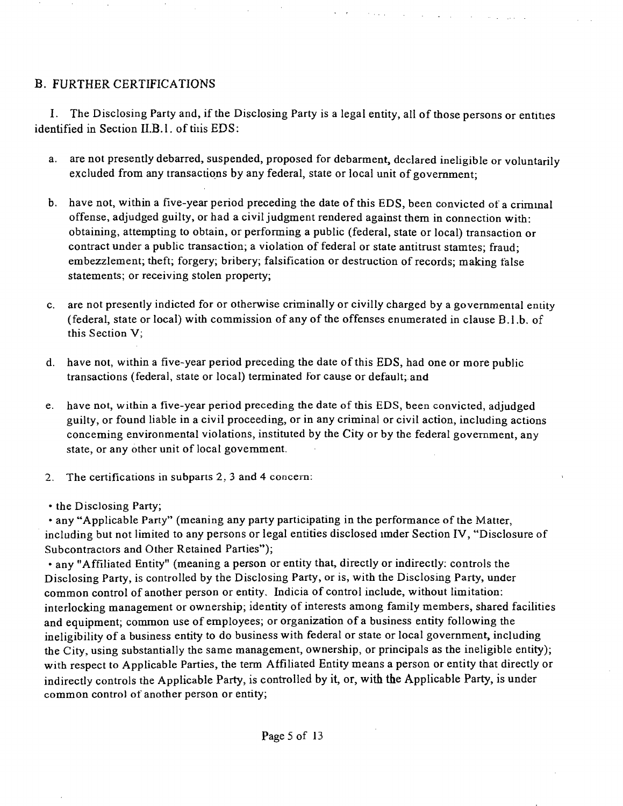## B. FURTHER CERTIFICATIONS

I. The Disclosing Party and, if the Disclosing Party is a legal entity, all of those persons or entities identified in Section II.B.l. of tiiis EDS:

 $\mathcal{O}(2\pi\epsilon\epsilon)$  , where  $\epsilon$  is a set of the set of the set of the  $\epsilon$ 

- a. are not presently debarred, suspended, proposed for debarment, declared ineligible or voluntarily excluded from any transactions by any federal, state or local unit of government;
- b. have not, within a five-year period preceding the date of this EDS, been convicted of a criminal offense, adjudged guilty, or had a civil judgment rendered against them in connection with: obtaining, attempting to obtain, or performing a public (federal, state or local) transaction or contract under a public transaction; a violation of federal or state antitrust stamtes; fraud; embezzlement; theft; forgery; bribery; falsification or destruction of records; making false statements; or receiving stolen property;
- c. are not presently indicted for or otherwise criminally or civilly charged by a governmental entity (federal, state or local) with commission of any of the offenses enumerated in clause  $B.l.b.$  of this Section V;
- d. have not, within a five-year period preceding the date of this EDS, had one or more public transactions (federal, state or local) terminated for cause or default; and
- e. have not, within a five-year period preceding the date of this EDS, been convicted, adjudged guilty, or found liable in a civil proceeding, or in any criminal or civil action, including actions conceming environmental violations, instituted by the City or by the federal govemment, any state, or any other unit of local govemment.

2. The certifications in subparts 2, 3 and 4 concern:

• the Disclosing Party;

• any "Applicable Party" (meaning any party participating in the performance of the Matter, including but not limited to any persons or legal entities disclosed imder Section IV, "Disclosure of Subcontractors and Other Retained Parties");

• any "Affiliated Entity" (meaning a pereon or entity that, directly or indirectly; controls the Disclosing Party, is controlled by the Disclosing Party, or is, with the Disclosing Party, under common control of another person or entity. Indicia of control include, without limitation: interlocking management or ownership; identity of interests among family members, shared facilities and equipment; common use of employees; or organization of a business entity following the ineligibility of a business entity to do business with federal or state or local government, including the City, using substantially the same management, ownership, or principals as the ineligible entity); with respect to Applicable Parties, the term Affiliated Entity means a person or entity that directly or indirectly controls the Applicable Party, is controlled by it, or, with the Applicable Party, is under common control of another person or entity;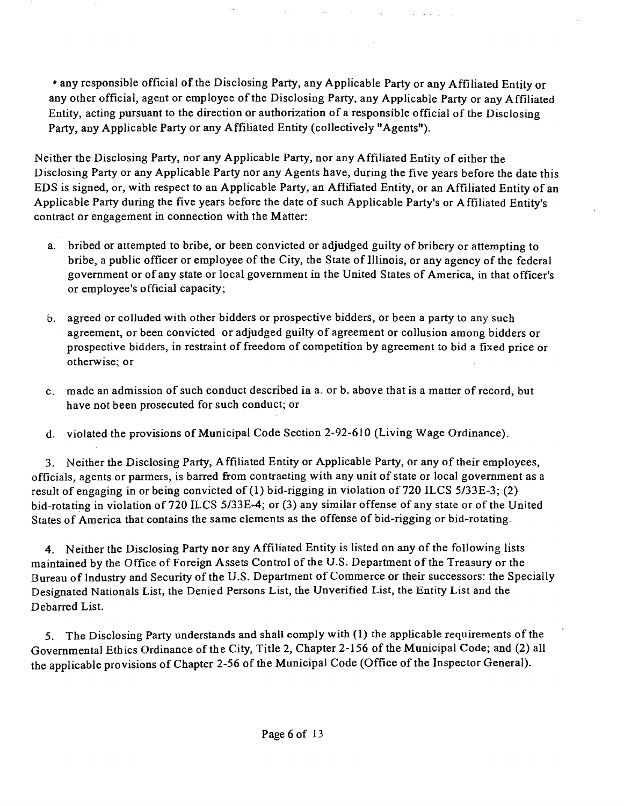\* any responsible official of the Disclosing Party, any Applicable Party or any Affiliated Entity or any other official, agent or employee of the Disclosing Party, any Applicable Party or any Affiliated Entity, acting pursuant to the direction or authorization of a responsible official of the Disclosing Party, any Applicable Party or any Affiliated Entity (collectively "Agents").

 $\sim 10^{11}$  m  $^{-1}$ 

 $\sim 10^{11}$  km  $^{-1}$ 

**College College** 

المناول أوالو المناور

 $\langle \varphi \rangle_{\rm{QCD}}$ 

 $\bar{\alpha}$ 

Neither the Disclosing Party, nor any Applicable Party, nor any Affiliated Entity of either the Disclosing Party or any Applicable Party nor any Agents have, during the five years before the date this EDS is signed, or, with respect to an Applicable Party, an Affifiated Entity, or an Affiliated Entity of an Applicable Party during the five years before the date of such Applicable Party's or Affiliated Entity's contract or engagement in connection with the Matter:

- a. bribed or attempted to bribe, or been convicted or adjudged guilty of bribery or attempting to bribe, a public officer or employee of the City, the State of Illinois, or any agency of the federal govemment or of any state or local govemment in the United States of America, in that officer's or employee's official capacity;
- b. agreed or colluded with other bidders or prospective bidders, or been a party lo any such agreement, or been convicted or adjudged guilty of agreement or collusion among bidders or prospective bidders, in restraint of freedom of competition by agreement to bid a fixed price or otherwise; or
- c. made an admission of such conduct described ia a. or b. above that is a matter ofrecord, but have not been prosecuted for such conduct; or
- d. violated the provisions of Municipal Code Section 2-92-610 (Living Wage Ordinance).

3. Neither the Disclosing Party, Affiliated Entity or Applicable Party, or any of their employees, officials, agents or parmers, is barred from contracting with any unit of state or local govemment as a result of engaging in or being convicted of (1) bid-rigging in violation of 720 ILCS 5/33E-3; (2) bid-rotating in violation of 720 ILCS 5/33E-4; or (3) any similar offense of any state or of the United States of America that contains the same elements as the offense of bid-rigging or bid-rotating.

4. Neither the Disclosing Party nor any Affiliated Entity is listed on any of the following lists maintained by the Office of Foreign Assets Control of the U.S. Department of the Treasury or the Bureau of Industry and Security of the U.S. Department of Commerce or their successors: the Specially Designated Nationals List, the Denied Persons List, the Unverified List, the Entity List and the Debarred List.

5. The Disclosing Party understands and shall comply with (1) the applicable requirements of the Govemmental Ethics Ordinance of the City, Title 2, Chapter 2-156 of the Municipal Code; and (2) all the applicable provisions of Chapter 2-56 of the Municipal Code (Office of the Inspector General).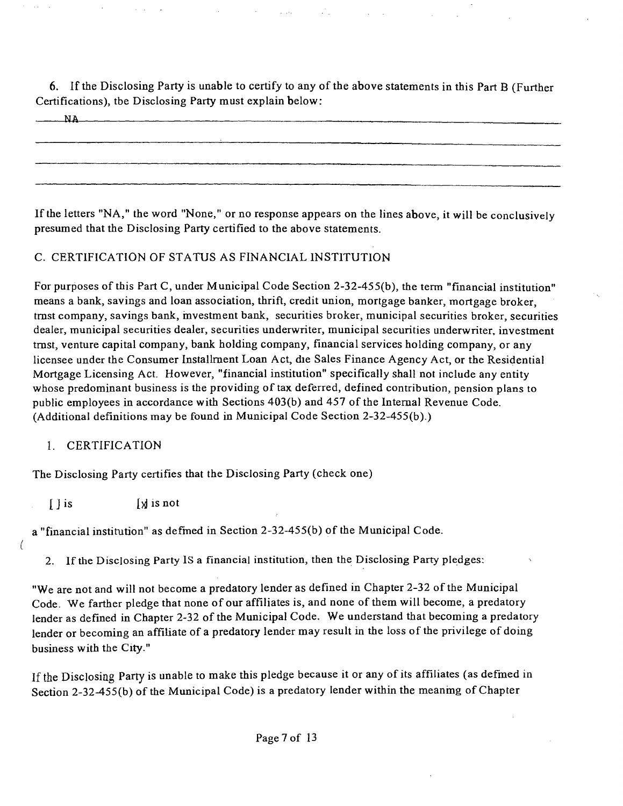6. If the Disclosing Party is unable to certify to any of the above statements in this Part B (Further Certifications), tbe Disclosing Party must explain below:

, ^

If the letters "NA, " the word "None," or no response appears on the lines above, it will be conclusively presumed that the Disclosing Party certified to the above statements.

## C. CERTIFICATION OF STATUS AS FINANCIAL INSTITUTION

For purposes of this Part C, under Municipal Code Section 2-32-455(b), the term "financial institution" means a bank, savings and loan association, thrift, credit union, mortgage banker, mortgage broker, tmst company, savings bank, mvestment bank, securities broker, municipal securities broker, securities dealer, municipal securities dealer, securities underwriter, municipal securities underwriter, investment tmst, venture capital company, bank holding company, financial services holding company, or any licensee under the Consumer Installment Loan Act, die Sales Finance Agency Act, or the Residential Mortgage Licensing Act. However, "financial institution" specifically shall not include any entity whose predominant business is the providing of tax deferred, defined contribution, pension plans to public employees in accordance with Sections 403(b) and 457 of the Internal Revenue Code. (Additional definitions may be found in Municipal Code Section 2-32-455(b).)

#### 1. CERTIFICATION

NA

The Disclosing Party certifies that the Disclosing Party (check one)

[] is [x is not

a "financial institution" as defined in Section 2-32-455(b) of the Municipal Code.

2. Ifthe Disclosing Party IS a financial institution, then the Disclosing Party pledges;

"We are not and will not become a predatory lender as defined in Chapter 2-32 of the Municipal Code. We farther pledge that none of our affiliates is, and none of them will become, a predatory lender as defined in Chapter 2-32 of the Municipal Code. We understand that becoming a predatory lender or becoming an affiliate of a predatory lender may result in the loss of the privilege of doing business with the City."

If the Disclosiag Party is unable to make this pledge because it or any of its affiliates (as defmed in Section 2-32-455(b) of the Municipal Code) is a predatory lender within the meaning of Chapter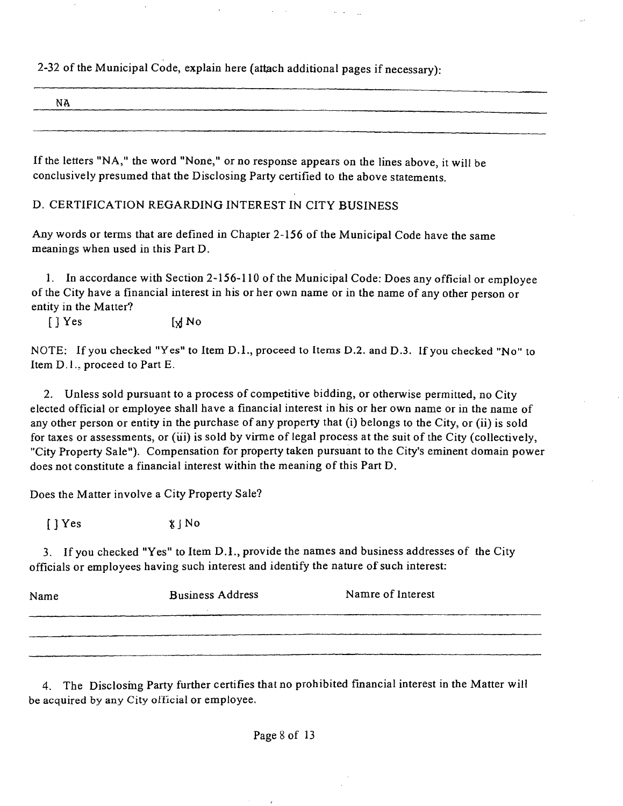2-32 of the Municipal Code, explain here (attach additional pages if necessary):

| ___ |
|-----|
|     |
|     |
|     |
|     |
|     |

If the letters "NA," the word "None," or no response appears on the lines above, it will be conclusively presumed that the Disclosing Party certified to the above statements.

D. CERTIFICATION REGARDING INTEREST IN CITY BUSINESS

Any words or terms that are defined in Chapter 2-156 of the Municipal Code have the same meanings when used in this Part D.

1. In accordance with Section 2-156-110 of the Municipal Code: Does any official or employee of the City have a financial interest in his or her own name or in the name of any other person or entity in the Matter?

 $[$   $]$  Yes  $\lbrack$   $\lbrack$  Yes  $\lbrack$   $\lbrack$  No

NOTE: If you checked "Yes" to Item D.l., proceed to Items D.2. and D.3. If you checked "No" to Item D.l. , proceed to Part E.

2. Unless sold pursuant to a process of competitive bidding, or otherwise permitted, no City elected official or employee shall have a financial interest in his or her own name or in the name of any other person or entity in the purchase of any property that (i) belongs to the City, or (ii) is sold for taxes or assessments, or (ui) is sold by virme of legal process at the suit of the City (collectively, "City Property Sale"). Compensation for property taken pursuant to the City's eminent domain power does not constitute a financial interest within the meaning of this Part D,

Does the Matter involve a City Property Sale?

 $[$   $]$   $Y$ es  $\uparrow \qquad \qquad$   $\uparrow$   $N$ o

3. Ifyou checked "Yes" to Item D.L , provide the names and business addresses of the City officials or employees having such interest and identify the nature of such interest:

| Name | <b>Business Address</b> | Namre of Interest |
|------|-------------------------|-------------------|
|      |                         |                   |
|      |                         |                   |
|      |                         |                   |

4. The Disclosmg Party further certifies that no prohibited financial interest in the Matter wil be acquired by any City official or employee.

Page 8 of 13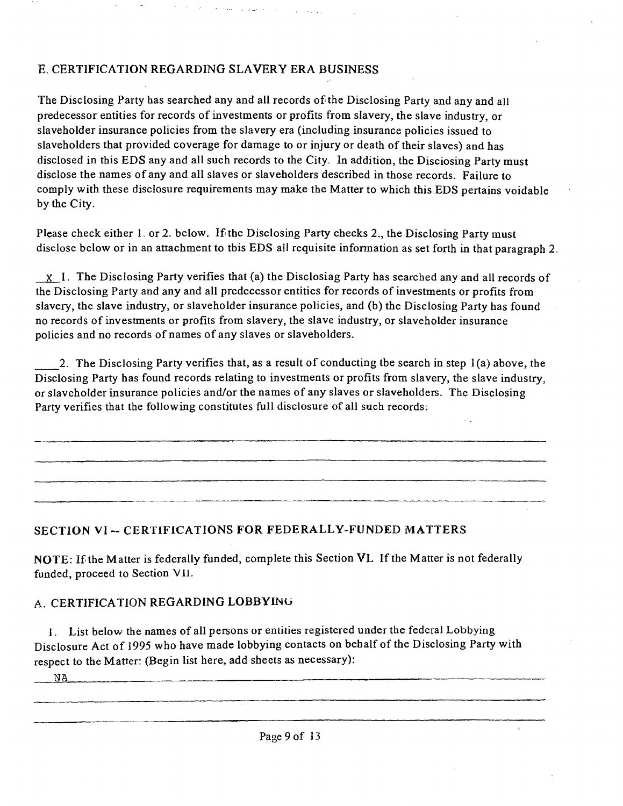## E. CERTIFICATION REGARDING SLAVER Y ER A BUSINESS

أأترج والمتوقف والمتحاج والأرا

The Disclosing Party has searched any and all records ofthe Disclosing Party and any and all predecessor entities for records of investments or profits from slavery, the slave industry, or slaveholder insurance policies from the slavery era (including insurance policies issued to slaveholders that provided coverage for damage to or injury or death of their slaves) and has disclosed in this EDS any and all such records to the City. In addition, the Disciosing Party must disclose the names of any and all slaves or slaveholders described in those records. Failure to comply with these disclosure requirements may make the Matter to which this EDS pertains voidable by the City.

Please check either 1. or 2. below. If the Disclosing Party checks 2., the Disclosing Party must disclose below or in an attachment to tbis EDS all requisite information as set forth in that paragraph 2.

X I. The Disclosing Party verifies that (a) the Disclosiag Party has searched any and all records of the Disclosing Party and any and all predecessor entities for records of investments or profits from slavety, the slave industry, or slaveholder insurance policies, and (b) the Disclosing Party has found no records of investments or profits from slavery, the slave industry, or slaveholder insurance policies and no records of names of any slaves or slaveholders.

2. The Disclosing Party verifies that, as a result of conducting tbe search in step 1(a) above, the Disclosing Party has found records relating to investments or profits from slavery, the slave industry, or slaveholder insurance policies and/or the names of any slaves or slaveholders. The Disclosing Party verifies that the following constitutes full disclosure of all such records;

## SECTION VI -- CERTIFICATIONS FOR FEDERALLY-FUNDED MATTERS

NOTE: If the Matter is federally funded, complete this Section VL If the Matter is not federally funded, proceed to Section VIL

#### A. CERTIFICATION REGARDING LOBBYING

1. List below the names of all persons or entities registered under the federal Lobbying Disclosure Act of 1995 who have made lobbying contacts on behalf of the Disclosing Party with respect to the Matter; (Begin list here, add sheets as necessary):

*NA .. . - ..- •*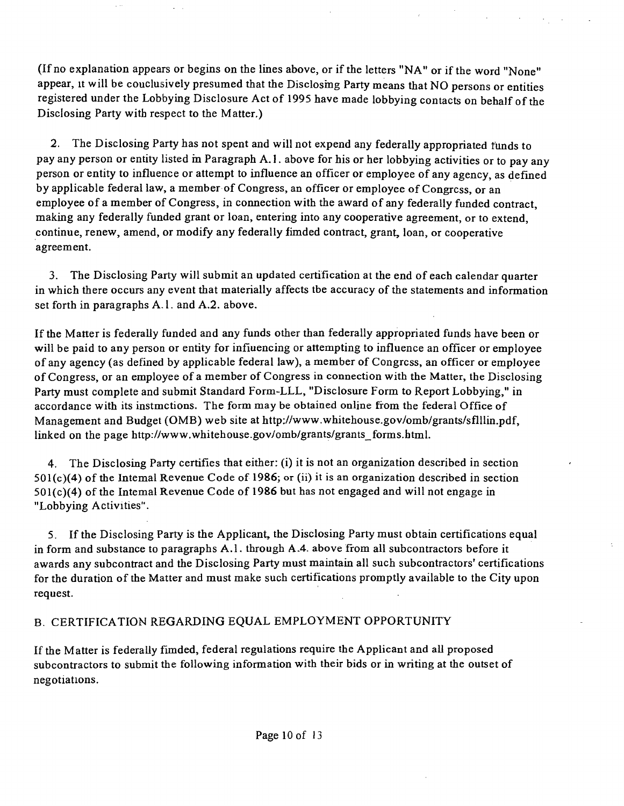(If no explanation appears or begins on the lines above, or if the letters "NA " or if the word "None" appear, it will be couclusively presumed that the Disclosmg Party means that NO persons or entities registered under the Lobbying Disclosure Act of 1995 have made lobbying contacts on behalf of the Disclosing Party with respect to the Matter.)

2. The Disclosing Party has not spent and will not expend any federally appropriated funds to pay any person or entity listed m Paragraph A. I. above for his or her lobbying activities or to pay any person or entity to influence or attempt to influence an officer or employee of any agency, as defined by applicable federal law, a member of Congress, an officer or employee of Congress, or an employee of a member of Congress, in connection with the award of any federally funded contract, making any federally funded grant or loan, entering into any cooperative agreement, or to extend, continue, renew, amend, or modify any federally fimded contract, grant, loan, or cooperative agreement.

3. The Disclosing Party will submit an updated certification at the end of each calendar quarter in which there occurs any event that materially affects tbe accuracy of the statements and information set forth in paragraphs  $A.1$ . and  $A.2$ . above.

If the Matter is federaUy funded and any funds other than federally appropriated funds have been or will be paid to any person or entity for influencing or attempting to influence an officer or employee of any agency (as defined by applicable federal law), a member of Congress, an officer or employee of Congress, or an employee of a member of Congress in connection with the Matter, the Disclosing Party must complete and submit Standard Form-LLL, "Disclosure Form to Report Lobbying," in accordance with its instmctions. The form may be obtained online from the federal Office of Management and Budget (OMB) web site at http://www.whitehouse.gov/omb/grants/sflllin.pdf, linked on the page http://www.whitehouse.gov/omb/grants/grants\_forms.html.

4. The Disclosing Party certifies that either: (i) it is not an organization described in section  $501(c)(4)$  of the Intemal Revenue Code of 1986; or (ii) it is an organization described in section 501(c)(4) of the Intemal Revenue Code of 1986 but has not engaged and will not engage in "Lobbying Activities".

5. If the Disclosing Party is the Applicant, the Disclosing Party must obtain certifications equal in form and substance to paragraphs A.l. through A.4. above from all subcontractors before it awards any subcontract and the Disclosing Party must maintain all such subcontractors' certifications for the duration of the Matter and must make such certifications promptly available to the City upon request.

#### B. CERTIFICATION REGARDING EQUAL EMPLOYMENT OPPORTUNITY

If the Matter is federally fimded, federal regulations require the Applicant and all proposed subcontractors to submit the following information with their bids or in writing at the outset of negotiations.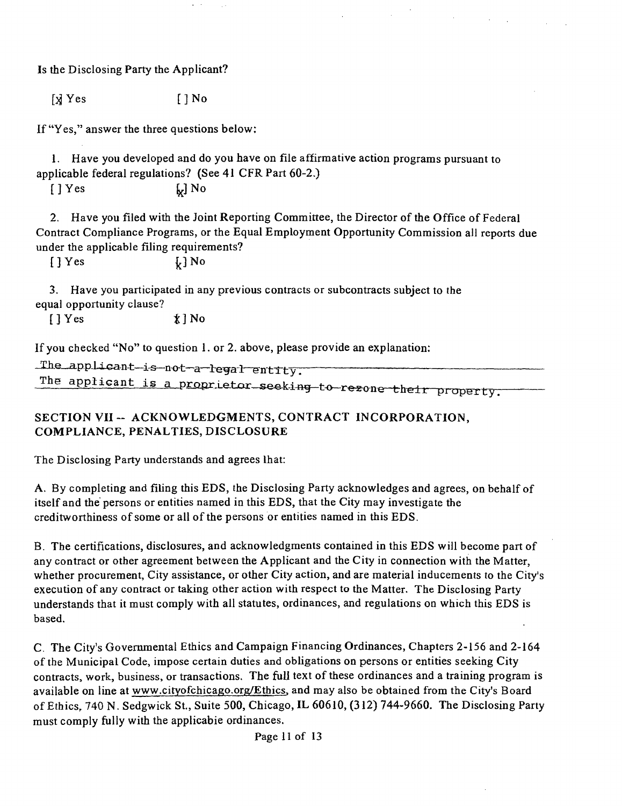Is the Disclosing Party the Applicant?

[x] Yes [ ] No

If "Yes," answer the three questions below:

1. Have you developed and do you have on file affirmative action programs pursuant to applicable federal regulations? (See 41 CFR Part 60-2.)

 $[ ] Yes$   $[ ] No$ 

2. Have you filed with the Joint Reporting Committee, the Director of the Office of Federal Contract Compliance Programs, or the Equal Employment Opportunity Commission all reports due under the applicable filing requirements?

 $\sim 10^{-10}$ 

 $\sim 10^{11}$  km s  $^{-1}$ 

 $\sim 10^{11}$  km s  $^{-1}$ 

 $[$   $]$   $Y$  es  $]$   $N$  o

3. Have you participated in any previous contracts or subcontracts subject to the equal opportunity clause?

 $[1 \text{Yes}$   $* \text{No}$ 

If you checked "No" to question 1. or 2. above, please provide an explanation:

The applicant is not a legal entity. The applicant is a proprietor seeking to rezone their property.

## SECTION VII -- ACKNOWLEDGMENTS, CONTRACT INCORPORATION, COMPLIANCE, PENALTIES, DISCLOSURE

The Disclosing Party understands and agrees lhat;

A. By completing and filing this EDS, the Disclosing Party acknowledges and agrees, on behalf of itself and the persons or entities named in this EDS, that the City may investigate the creditworthiness of some or all of the persons or entities named in this EDS.

B. The certifications, disclosures, and acknowledgments contained in this EDS will become part of any contract or other agreement between the Applicant and the City in connection with the Matter, whether procurement. City assistance, or other City action, and are material inducements to the City's execution of any contract or taking other action with respect to the Matter. The Disclosing Party understands that it must comply with all statutes, ordinances, and regulations on which this EDS is based.

C. The City's Govemmental Ethics and Campaign Financing Ordinances, Chapters 2-156 and 2-164 ofthe Municipal Code, impose certain duties and obligations on persons or entities seeking City contracts, work, business, or transactions. The full text of these ordinances and a training program is available on line at www.cityofchicago.org/Ethics, and may also be obtained from the City's Board of Ethics, 740 N . Sedgwick St., Suite 500, Chicago, IL 60610, (312) 744-9660. The Disclosing Party must comply fully with the applicabie ordinances.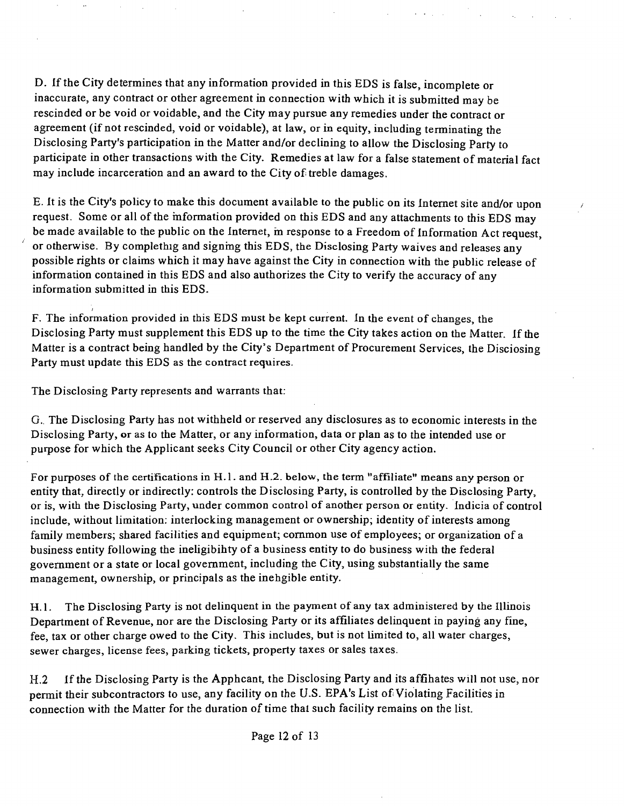D. If the City determines that any information provided in this EDS is false, incomplete or inaccurate, any contract or other agreement in connection with which it is submitted may be rescinded or be void or voidable, and the City may pursue any remedies under the contract or agreement (if not rescinded, void or voidable), at law, or in equity, including terminating the Disclosing Party's participation in the Matter and/or declining to allow the Disclosing Party to participate in other transactions with the City. Remedies at law for a false statement of material fact may include incarceration and an award to the City of treble damages.

 $\omega = \omega_{\rm{max}}$  , where  $\omega_{\rm{max}}$ 

E. It is the City's policy to make this document available to the public on its Intemet site and/or upon request. Some or all of the mformation provided on this EDS and any attachments to this EDS may be made available to the public on the Internet, m response to a Freedom of Information Act request, or otherwise. By complethig and signing this EDS, the Disclosing Party waives and releases any possible rights or claims which it may have against the City in connection with the public release of information contained in this EDS and also authorizes the City to verify the accuracy of any information submitted in this EDS.

F. The information provided in this EDS must be kept current. In the event of changes, the Disclosing Party must supplement this EDS up to the time the City takes action on the Matter. If the Matter is a contract being handled by the City's Department of Procurement Services, the Disciosing Party must update this EDS as the contract requires.

The Disclosing Party represents and warrants that:

G. The Disclosing Party has not withheld or reserved any disclosures as to economic interests in the Disclosing Party, or as to the Matter, or any information, data or plan as to the intended use or purpose for which the Applicant seeks City Council or other City agency action.

For purposes of the certifications in H.l . and H.2. below, the term "affiliate" means any person or entity that, directly or indirectly: controls the Disclosing Party, is controlled by the Disclosing Party, or is, with the Disclosing Party, under common control of another person or entity. Indicia of control include, without limitation; interlocking management or ownership; identity of interests among family members; shared facilities and equipment; common use of employees; or organization of a business entity following the ineligibihty of a business entity to do business with the federal govemment or a state or local govemment, including the City, using substantially the same management, ownership, or principals as the inehgible entity.

H.1. The Disclosing Party is not delinquent in the payment of any tax administered by the Illinois Department of Revenue, nor are the Disclosing Party or its affiliates delinquent in paying any fine, fee, tax or other charge owed to the City. This includes, but is not limited to, all water charges, sewer charges, license fees, parking tickets, property taxes or sales taxes.

H.2 If the Disclosing Party is the Apphcant, the Disclosing Party and its affihates will not use, nor permit their subcontractors to use, any facility on the U.S. EPA's List of Violating Facilities in connection with the Matter for the duration of time thai such facility remains on the list.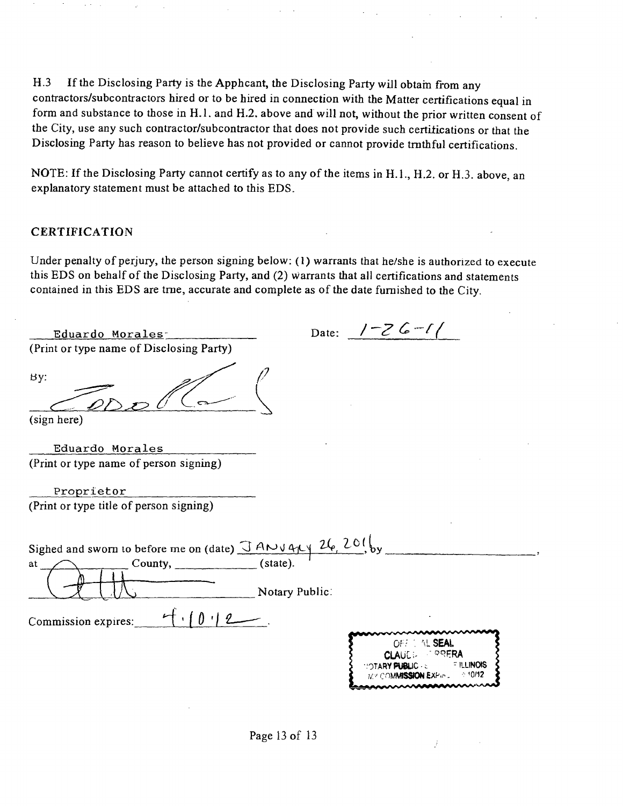H.3 If the Disclosing Party is the Apphcant, the Disclosing Party will obtam from any confractors/subcontractors hired or to be hired in connection with the Matter certifications equal in form and substance to those in H.1. and H.2. above and will not, without the prior written consent of the City, use any such contractor/subcontractor that does not provide such certifications or that the Disclosing Party has reason to believe has not provided or cannot provide truthful certifications.

NOTE: If the Disclosing Party cannot certify as to any of the items in H. 1., H.2. or H.3. above, an explanatory statement must be attached to this EDS.

#### **CERTIFICATION**

Under penalty of perjury, the person signing below; (1) warrants that he/she is authorized to execute this EDS on behalf of the Disclosing Party, and (2) warrants that all certifications and statements contained in this EDS are trne, accurate and complete as of the date furnished to the City.

| Eduardo Morales                                                                                          | Date: $1 - 26 - 11$                |
|----------------------------------------------------------------------------------------------------------|------------------------------------|
| (Print or type name of Disclosing Party)                                                                 |                                    |
| By:<br>(sign here)                                                                                       |                                    |
|                                                                                                          |                                    |
| Eduardo Morales                                                                                          |                                    |
| (Print or type name of person signing)                                                                   |                                    |
| Proprietor                                                                                               |                                    |
| (Print or type title of person signing)                                                                  |                                    |
| Sighed and sworn to before me on (date) $\frac{\partial A \cup \partial A \cup \{A, C\}}{\partial C}$ by |                                    |
| County, $\frac{\text{County}}{\text{County}}$<br>at                                                      |                                    |
|                                                                                                          | Notary Public.                     |
| Commission expires:                                                                                      |                                    |
|                                                                                                          | AL SEAL<br>PQEI<br><b>ILLINOIS</b> |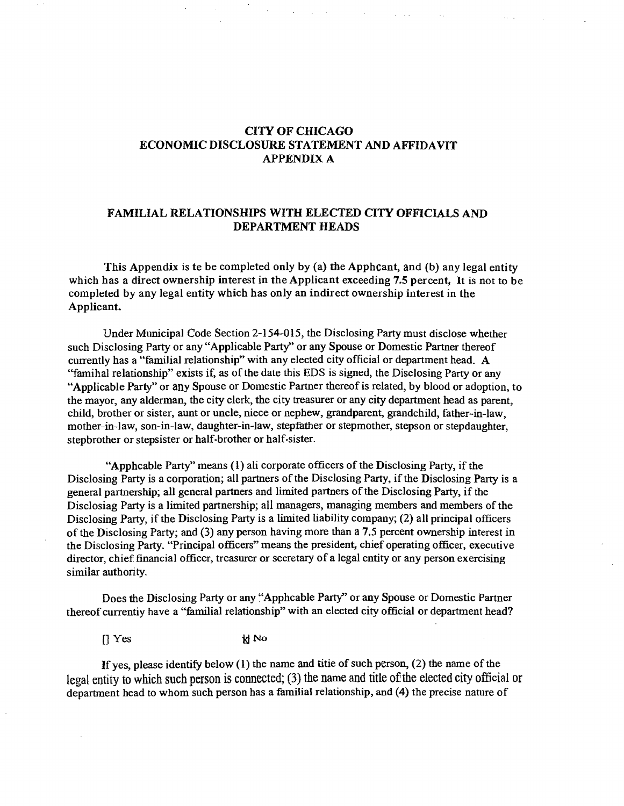#### CITY OF CHICAGO ECONOMIC DISCLOSURE STATEMENT AND AFFIDAVIT APPENDIX A

 $\mathcal{L}^{\text{max}}$ 

#### FAMILIAL RELATIONSHIPS WITH ELECTED CITY OFFICIALS AND DEPARTMENT HEADS

This Appendix is te be completed only by (a) the Apphcant, and (b) any legal entity which has a direct ownership interest in the Applicant exceeding 7.5 percent. It is not to be completed by any legal entity which has only an indirect ownership interest in the Applicant.

Under Municipal Code Section 2-154-015, the Disclosing Party must disclose whether such Disclosing Party or any "Applicable Party" or any Spouse or Domestic Partner thereof currently has a "familial relationship" with any elected city official or department head. A "famihal relationship" exists if, as of the date this EDS is signed, the Disclosing Party or any "Applicable Party" or any Spouse or Domestic Partner thereof is related, by blood or adoption, to the mayor, any alderman, the city clerk, the city treasurer or any city department head as parent, child, brother or sister, aunt or uncle, niece or nephew, grandparent, grandchild, father-in-law, mother-in-law, son-in-law, daughter-in-law, stepfather or stepmother, stepson or stepdaughter, stepbrother or stepsister or half-brother or half-sister.

"Apphcable Party" means (1) ali corporate officers of the Disclosing Party, if the Disclosing Party is a corporation; all partners of the Disclosing Party, if the Disclosing Party is a general partnership; all general partners and limited partners of the Disclosing Party, if the Disclosiag Party is a limited partnership; all managers, managing members and members of the Disclosing Party, if the Disclosing Party is a limited liability company; (2) all principal officers of the Disclosing Party; and (3) any person having more than a 7.5 percent ownership interest in the Disclosing Party. "Principal officers" means the president, chief operating officer, executive director, chief financial officer, treasurer or secretary of a legal entity or any person exercising similar authority.

Does the Disclosing Party or any "Apphcable Party" or any Spouse or Domestic Partner thereof currentiy have a "familial relationship" with an elected city official or department head?

 $[$   $]$   $Y$ es  $]$   $]$   $Y$ es  $]$   $]$   $N$ o

If yes, please identify below  $(1)$  the name and titie of such person,  $(2)$  the name of the legal entity to which such person is connected;  $(3)$  the name and title of the elected city official or department head to whom such person has a familial relationship, and (4) the precise nature of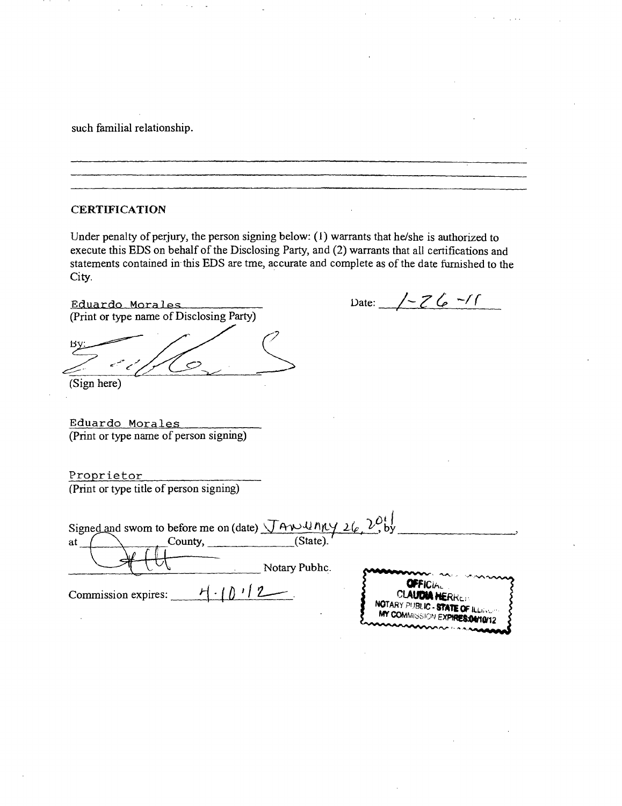such familial relationship.

#### CERTIFICATION

Under penalty of perjury, the person signing below; (1) warrants that he/she is authorized to execute this EDS on behalf of the Disclosing Party, and (2) warrants that all certifications and statements contained in this EDS are tme, accurate and complete as of the date fumished to the City.

Eduardo Morales (Print or type name of Disclosing Party) **BV** (Sign here)

*Date: Z 0 ^* 

Eduardo Morales (Print or type name of person signing)

Proprietor (Print or type title of person signing)

| Signed and swom to before me on (date) $\sqrt{A}$ $\sqrt{A}$ $\sqrt{A}$ $\sqrt{A}$ $\sqrt{A}$ $\sqrt{A}$ $\sqrt{B}$ | bv                                                                                                             |
|---------------------------------------------------------------------------------------------------------------------|----------------------------------------------------------------------------------------------------------------|
| (State).<br>County,<br><b>at</b>                                                                                    |                                                                                                                |
| Notary Pubhc.                                                                                                       |                                                                                                                |
| Commission expires:                                                                                                 | <b>OFFICIAL</b><br><b>CLAUDIA HERREST</b><br>NOTARY PUBLIC - STATE OF ILLINOTE<br>MY COMMISSION EXPIRES DAMONS |